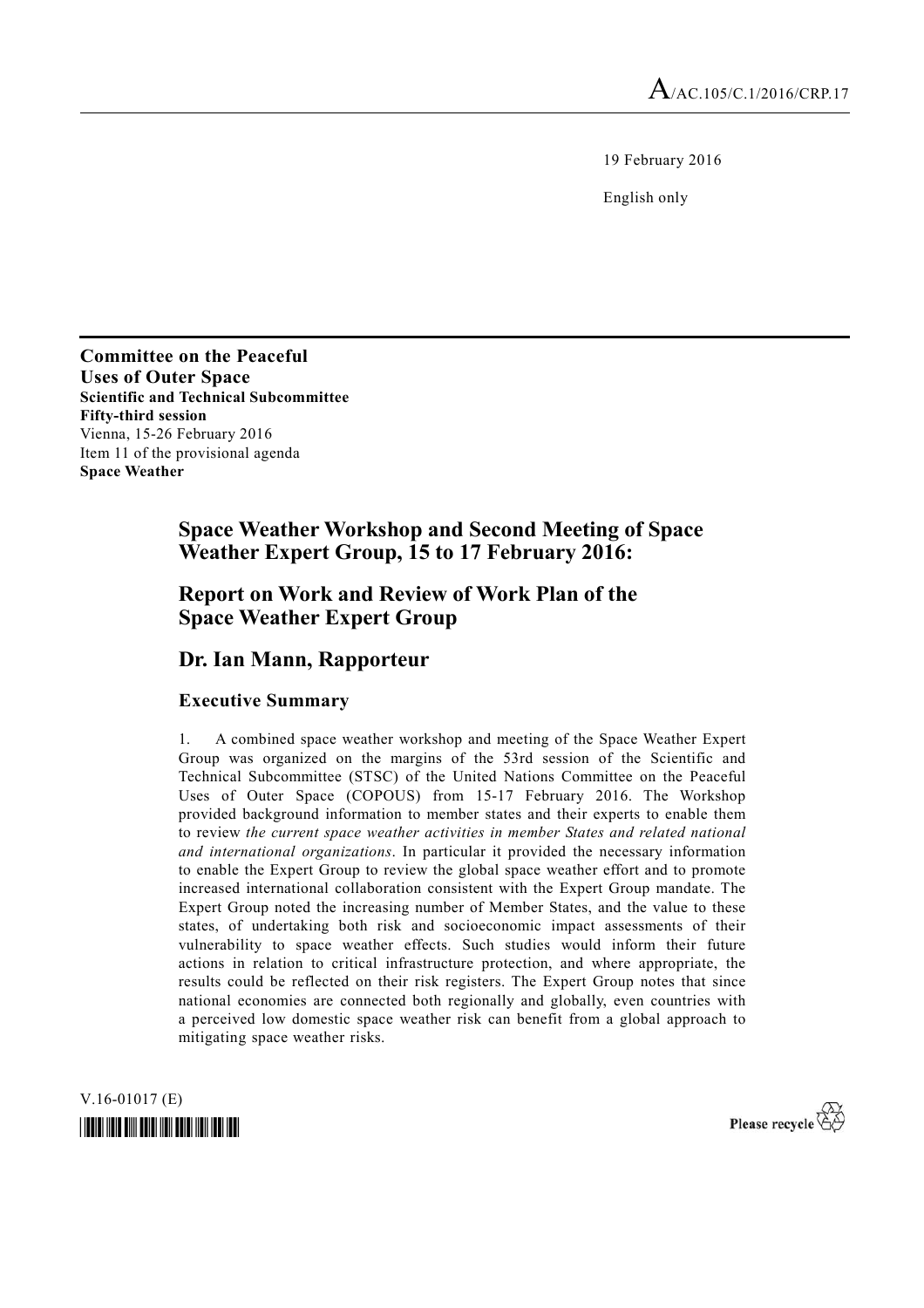19 February 2016

English only

**Committee on the Peaceful Uses of Outer Space Scientific and Technical Subcommittee Fifty-third session**  Vienna, 15-26 February 2016 Item 11 of the provisional agenda **Space Weather** 

# **Space Weather Workshop and Second Meeting of Space Weather Expert Group, 15 to 17 February 2016:**

## **Report on Work and Review of Work Plan of the Space Weather Expert Group**

### **Dr. Ian Mann, Rapporteur**

#### **Executive Summary**

1. A combined space weather workshop and meeting of the Space Weather Expert Group was organized on the margins of the 53rd session of the Scientific and Technical Subcommittee (STSC) of the United Nations Committee on the Peaceful Uses of Outer Space (COPOUS) from 15-17 February 2016. The Workshop provided background information to member states and their experts to enable them to review *the current space weather activities in member States and related national and international organizations*. In particular it provided the necessary information to enable the Expert Group to review the global space weather effort and to promote increased international collaboration consistent with the Expert Group mandate. The Expert Group noted the increasing number of Member States, and the value to these states, of undertaking both risk and socioeconomic impact assessments of their vulnerability to space weather effects. Such studies would inform their future actions in relation to critical infrastructure protection, and where appropriate, the results could be reflected on their risk registers. The Expert Group notes that since national economies are connected both regionally and globally, even countries with a perceived low domestic space weather risk can benefit from a global approach to mitigating space weather risks.

V.16-01017 (E) *\*1601017\** 

Please recycle  $\overleftrightarrow{C}$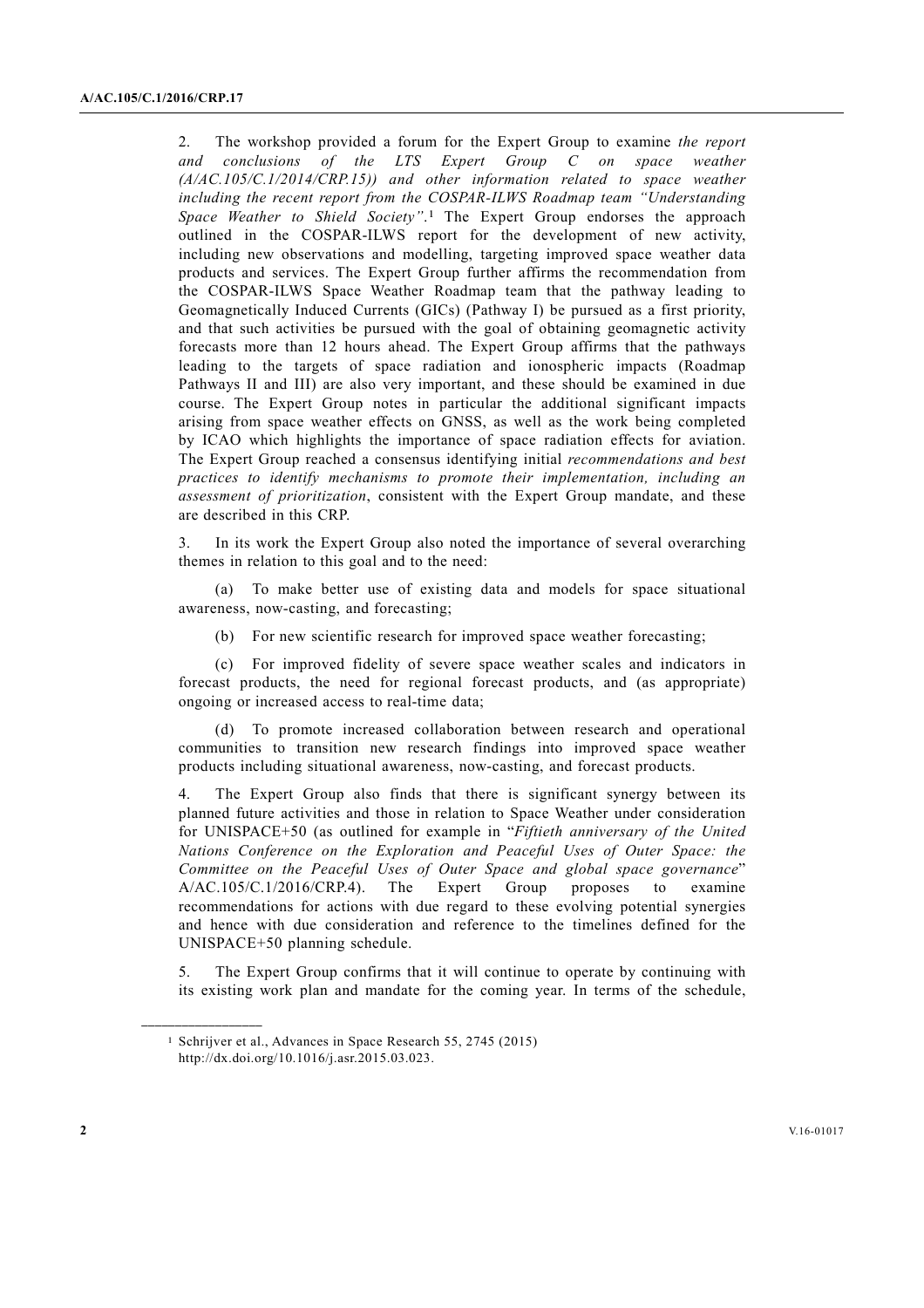2. The workshop provided a forum for the Expert Group to examine *the report and conclusions of the LTS Expert Group C on space weather (A/AC.105/C.1/2014/CRP.15)) and other information related to space weather including the recent report from the COSPAR-ILWS Roadmap team "Understanding Space Weather to Shield Society"*.1 The Expert Group endorses the approach outlined in the COSPAR-ILWS report for the development of new activity, including new observations and modelling, targeting improved space weather data products and services. The Expert Group further affirms the recommendation from the COSPAR-ILWS Space Weather Roadmap team that the pathway leading to Geomagnetically Induced Currents (GICs) (Pathway I) be pursued as a first priority, and that such activities be pursued with the goal of obtaining geomagnetic activity forecasts more than 12 hours ahead. The Expert Group affirms that the pathways leading to the targets of space radiation and ionospheric impacts (Roadmap Pathways II and III) are also very important, and these should be examined in due course. The Expert Group notes in particular the additional significant impacts arising from space weather effects on GNSS, as well as the work being completed by ICAO which highlights the importance of space radiation effects for aviation. The Expert Group reached a consensus identifying initial *recommendations and best practices to identify mechanisms to promote their implementation, including an assessment of prioritization*, consistent with the Expert Group mandate, and these are described in this CRP.

3. In its work the Expert Group also noted the importance of several overarching themes in relation to this goal and to the need:

 (a) To make better use of existing data and models for space situational awareness, now-casting, and forecasting;

(b) For new scientific research for improved space weather forecasting;

 (c) For improved fidelity of severe space weather scales and indicators in forecast products, the need for regional forecast products, and (as appropriate) ongoing or increased access to real-time data;

 (d) To promote increased collaboration between research and operational communities to transition new research findings into improved space weather products including situational awareness, now-casting, and forecast products.

4. The Expert Group also finds that there is significant synergy between its planned future activities and those in relation to Space Weather under consideration for UNISPACE+50 (as outlined for example in "*Fiftieth anniversary of the United Nations Conference on the Exploration and Peaceful Uses of Outer Space: the Committee on the Peaceful Uses of Outer Space and global space governance*" A/AC.105/C.1/2016/CRP.4). The Expert Group proposes to examine recommendations for actions with due regard to these evolving potential synergies and hence with due consideration and reference to the timelines defined for the UNISPACE+50 planning schedule.

5. The Expert Group confirms that it will continue to operate by continuing with its existing work plan and mandate for the coming year. In terms of the schedule,

**\_\_\_\_\_\_\_\_\_\_\_\_\_\_\_\_\_\_** 

<sup>1</sup> Schrijver et al., Advances in Space Research 55, 2745 (2015) http://dx.doi.org/10.1016/j.asr.2015.03.023.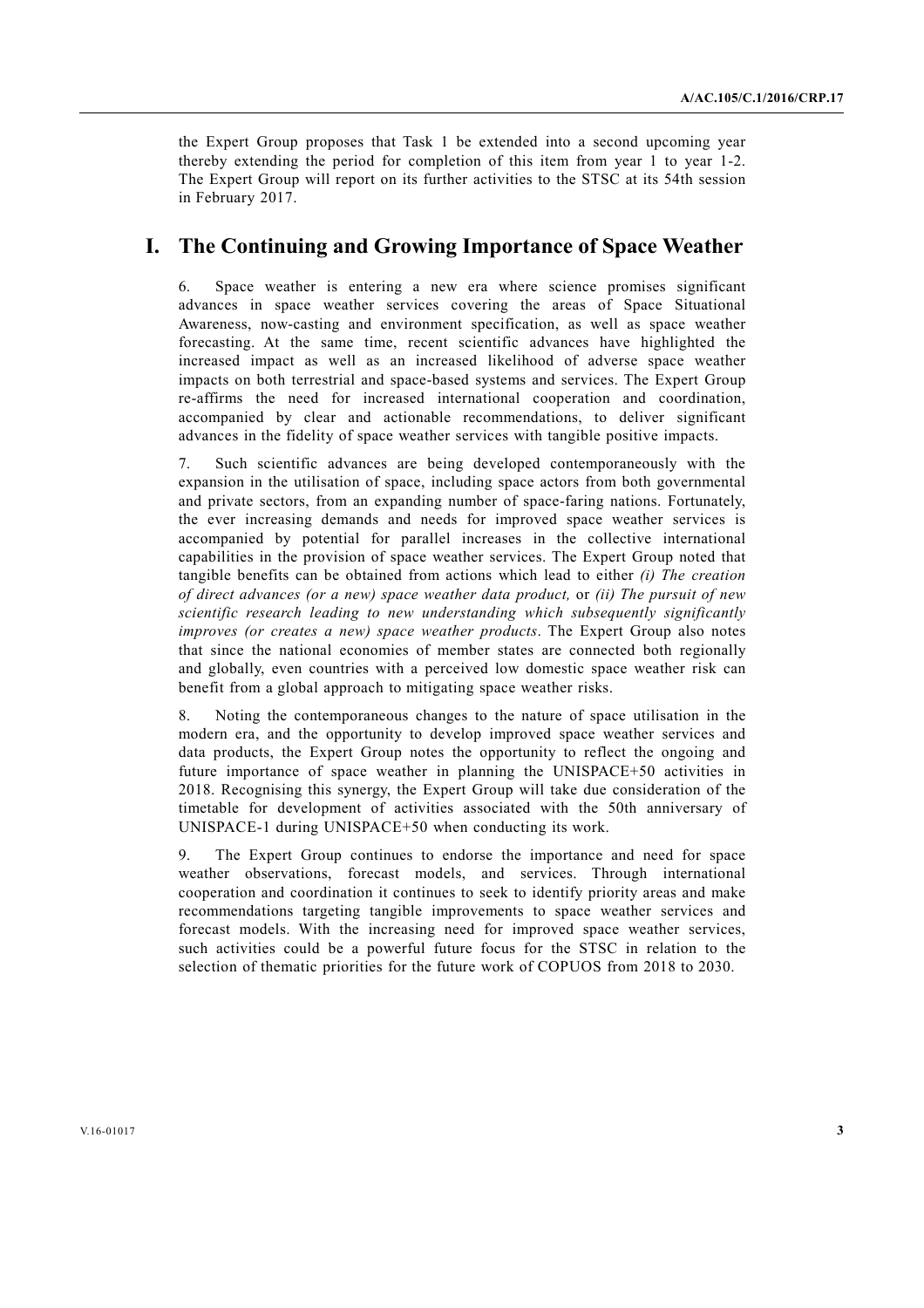the Expert Group proposes that Task 1 be extended into a second upcoming year thereby extending the period for completion of this item from year 1 to year 1-2. The Expert Group will report on its further activities to the STSC at its 54th session in February 2017.

## **I. The Continuing and Growing Importance of Space Weather**

6. Space weather is entering a new era where science promises significant advances in space weather services covering the areas of Space Situational Awareness, now-casting and environment specification, as well as space weather forecasting. At the same time, recent scientific advances have highlighted the increased impact as well as an increased likelihood of adverse space weather impacts on both terrestrial and space-based systems and services. The Expert Group re-affirms the need for increased international cooperation and coordination, accompanied by clear and actionable recommendations, to deliver significant advances in the fidelity of space weather services with tangible positive impacts.

7. Such scientific advances are being developed contemporaneously with the expansion in the utilisation of space, including space actors from both governmental and private sectors, from an expanding number of space-faring nations. Fortunately, the ever increasing demands and needs for improved space weather services is accompanied by potential for parallel increases in the collective international capabilities in the provision of space weather services. The Expert Group noted that tangible benefits can be obtained from actions which lead to either *(i) The creation of direct advances (or a new) space weather data product,* or *(ii) The pursuit of new scientific research leading to new understanding which subsequently significantly improves (or creates a new) space weather products*. The Expert Group also notes that since the national economies of member states are connected both regionally and globally, even countries with a perceived low domestic space weather risk can benefit from a global approach to mitigating space weather risks.

8. Noting the contemporaneous changes to the nature of space utilisation in the modern era, and the opportunity to develop improved space weather services and data products, the Expert Group notes the opportunity to reflect the ongoing and future importance of space weather in planning the UNISPACE+50 activities in 2018. Recognising this synergy, the Expert Group will take due consideration of the timetable for development of activities associated with the 50th anniversary of UNISPACE-1 during UNISPACE+50 when conducting its work.

9. The Expert Group continues to endorse the importance and need for space weather observations, forecast models, and services. Through international cooperation and coordination it continues to seek to identify priority areas and make recommendations targeting tangible improvements to space weather services and forecast models. With the increasing need for improved space weather services, such activities could be a powerful future focus for the STSC in relation to the selection of thematic priorities for the future work of COPUOS from 2018 to 2030.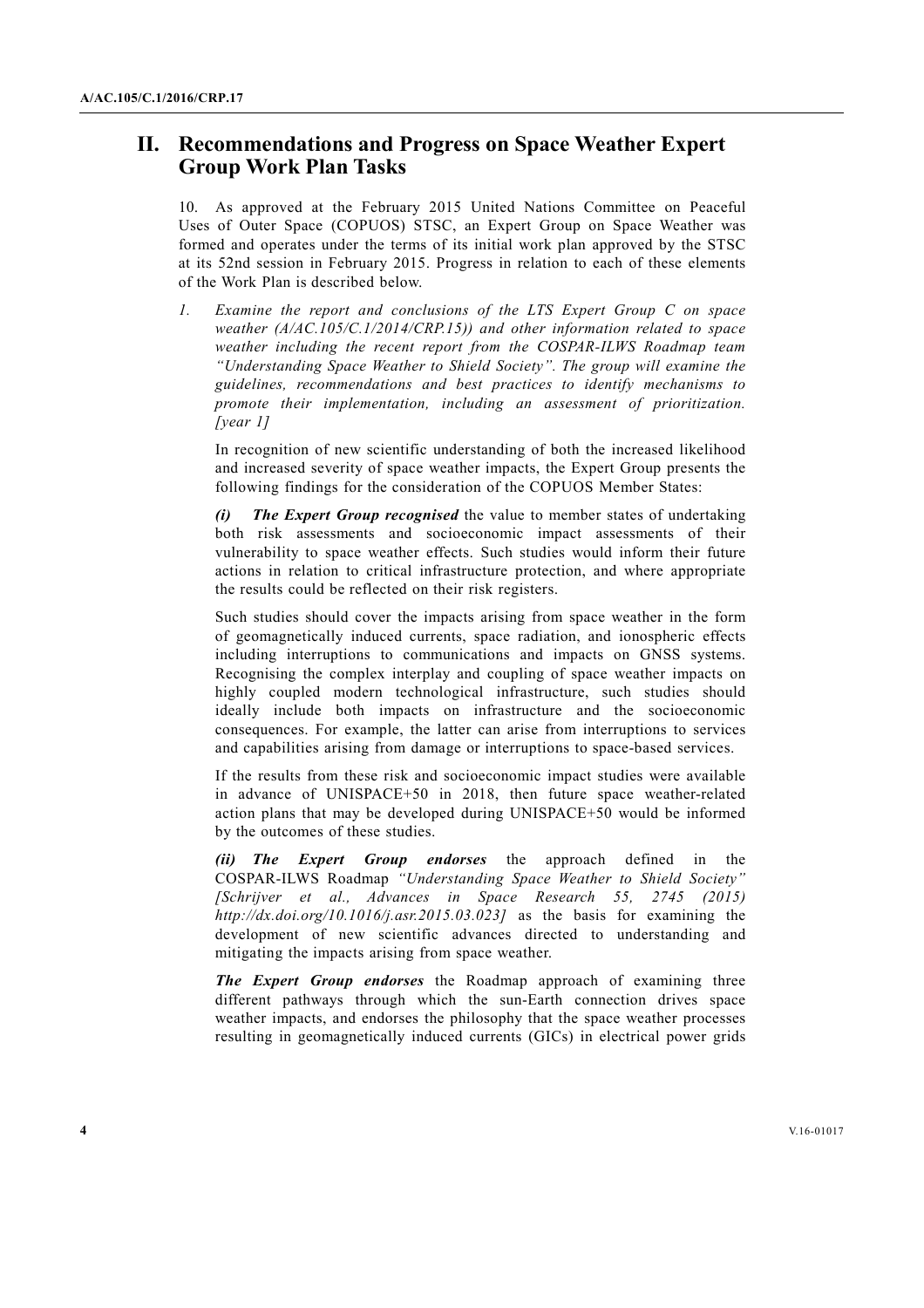## **II. Recommendations and Progress on Space Weather Expert Group Work Plan Tasks**

10. As approved at the February 2015 United Nations Committee on Peaceful Uses of Outer Space (COPUOS) STSC, an Expert Group on Space Weather was formed and operates under the terms of its initial work plan approved by the STSC at its 52nd session in February 2015. Progress in relation to each of these elements of the Work Plan is described below.

*1. Examine the report and conclusions of the LTS Expert Group C on space weather (A/AC.105/C.1/2014/CRP.15)) and other information related to space weather including the recent report from the COSPAR-ILWS Roadmap team "Understanding Space Weather to Shield Society". The group will examine the guidelines, recommendations and best practices to identify mechanisms to promote their implementation, including an assessment of prioritization. [year 1]* 

 In recognition of new scientific understanding of both the increased likelihood and increased severity of space weather impacts, the Expert Group presents the following findings for the consideration of the COPUOS Member States:

*(i) The Expert Group recognised* the value to member states of undertaking both risk assessments and socioeconomic impact assessments of their vulnerability to space weather effects. Such studies would inform their future actions in relation to critical infrastructure protection, and where appropriate the results could be reflected on their risk registers.

 Such studies should cover the impacts arising from space weather in the form of geomagnetically induced currents, space radiation, and ionospheric effects including interruptions to communications and impacts on GNSS systems. Recognising the complex interplay and coupling of space weather impacts on highly coupled modern technological infrastructure, such studies should ideally include both impacts on infrastructure and the socioeconomic consequences. For example, the latter can arise from interruptions to services and capabilities arising from damage or interruptions to space-based services.

 If the results from these risk and socioeconomic impact studies were available in advance of UNISPACE+50 in 2018, then future space weather-related action plans that may be developed during UNISPACE+50 would be informed by the outcomes of these studies.

*(ii) The Expert Group endorses* the approach defined in the COSPAR-ILWS Roadmap *"Understanding Space Weather to Shield Society" [Schrijver et al., Advances in Space Research 55, 2745 (2015) http://dx.doi.org/10.1016/j.asr.2015.03.023]* as the basis for examining the development of new scientific advances directed to understanding and mitigating the impacts arising from space weather.

*The Expert Group endorses* the Roadmap approach of examining three different pathways through which the sun-Earth connection drives space weather impacts, and endorses the philosophy that the space weather processes resulting in geomagnetically induced currents (GICs) in electrical power grids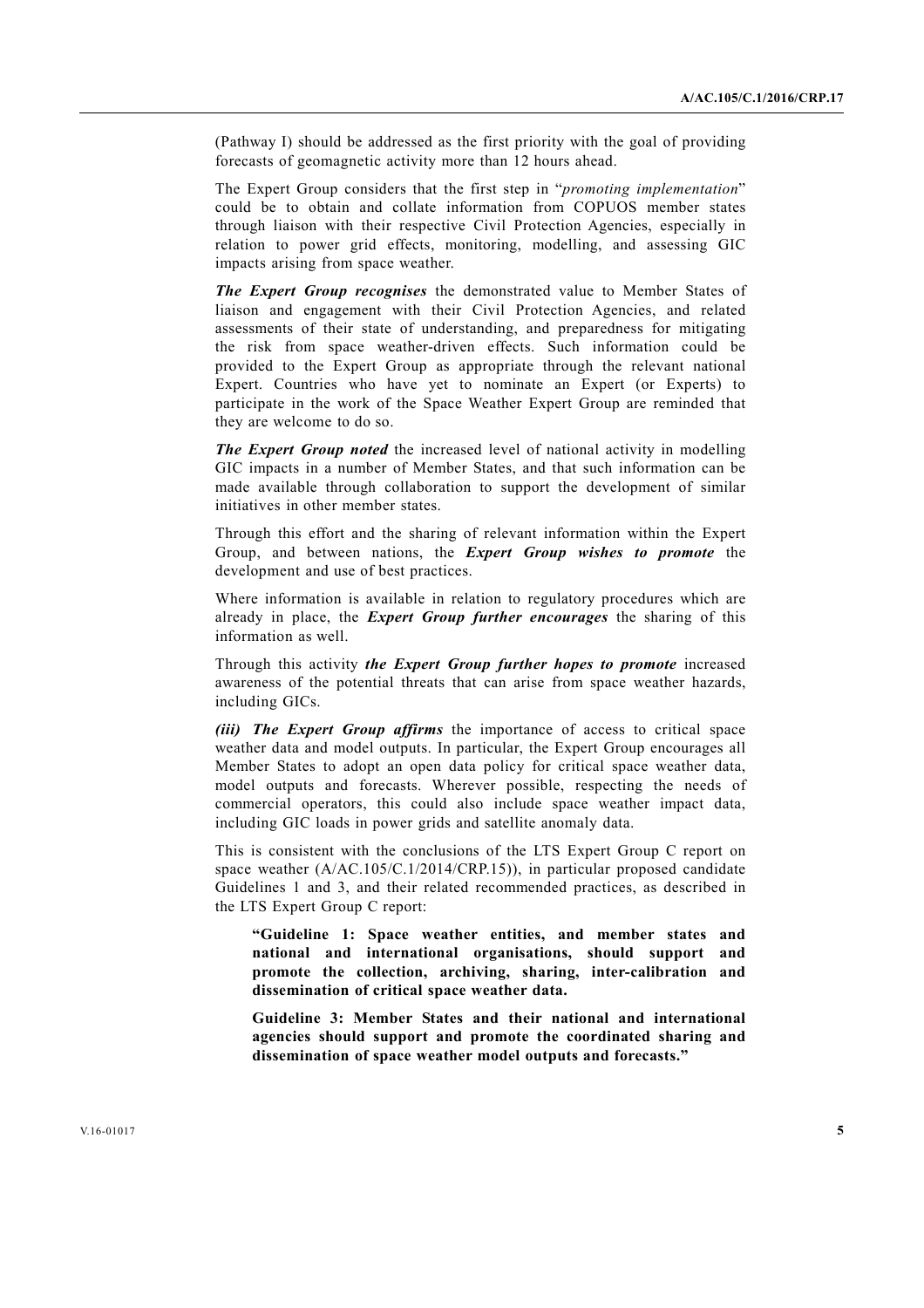(Pathway I) should be addressed as the first priority with the goal of providing forecasts of geomagnetic activity more than 12 hours ahead.

 The Expert Group considers that the first step in "*promoting implementation*" could be to obtain and collate information from COPUOS member states through liaison with their respective Civil Protection Agencies, especially in relation to power grid effects, monitoring, modelling, and assessing GIC impacts arising from space weather.

*The Expert Group recognises* the demonstrated value to Member States of liaison and engagement with their Civil Protection Agencies, and related assessments of their state of understanding, and preparedness for mitigating the risk from space weather-driven effects. Such information could be provided to the Expert Group as appropriate through the relevant national Expert. Countries who have yet to nominate an Expert (or Experts) to participate in the work of the Space Weather Expert Group are reminded that they are welcome to do so.

*The Expert Group noted* the increased level of national activity in modelling GIC impacts in a number of Member States, and that such information can be made available through collaboration to support the development of similar initiatives in other member states.

 Through this effort and the sharing of relevant information within the Expert Group, and between nations, the *Expert Group wishes to promote* the development and use of best practices.

 Where information is available in relation to regulatory procedures which are already in place, the *Expert Group further encourages* the sharing of this information as well.

 Through this activity *the Expert Group further hopes to promote* increased awareness of the potential threats that can arise from space weather hazards, including GICs.

*(iii) The Expert Group affirms* the importance of access to critical space weather data and model outputs. In particular, the Expert Group encourages all Member States to adopt an open data policy for critical space weather data, model outputs and forecasts. Wherever possible, respecting the needs of commercial operators, this could also include space weather impact data, including GIC loads in power grids and satellite anomaly data.

 This is consistent with the conclusions of the LTS Expert Group C report on space weather (A/AC.105/C.1/2014/CRP.15)), in particular proposed candidate Guidelines 1 and 3, and their related recommended practices, as described in the LTS Expert Group C report:

 **"Guideline 1: Space weather entities, and member states and national and international organisations, should support and promote the collection, archiving, sharing, inter-calibration and dissemination of critical space weather data.** 

 **Guideline 3: Member States and their national and international agencies should support and promote the coordinated sharing and dissemination of space weather model outputs and forecasts."**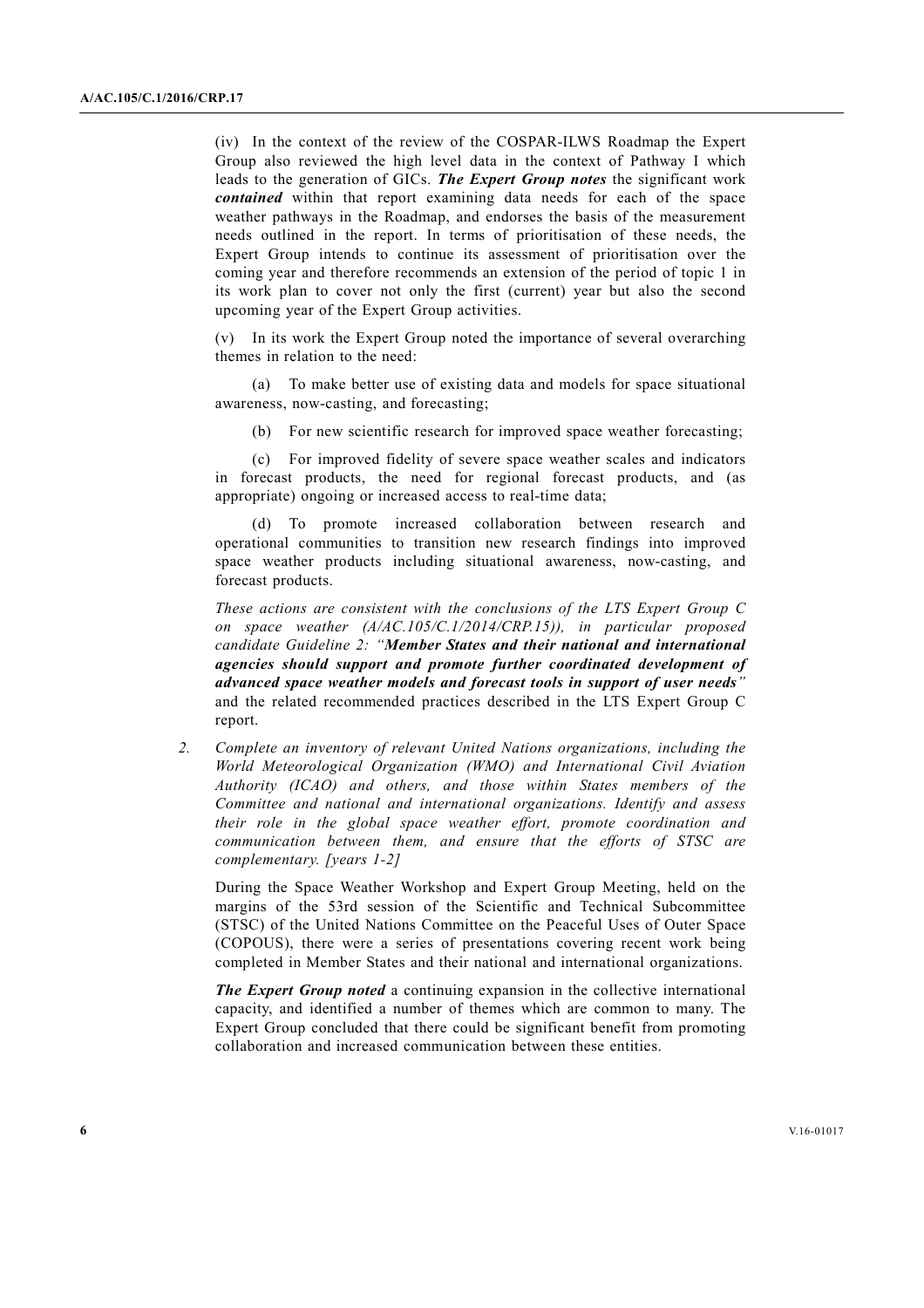(iv) In the context of the review of the COSPAR-ILWS Roadmap the Expert Group also reviewed the high level data in the context of Pathway I which leads to the generation of GICs. *The Expert Group notes* the significant work *contained* within that report examining data needs for each of the space weather pathways in the Roadmap, and endorses the basis of the measurement needs outlined in the report. In terms of prioritisation of these needs, the Expert Group intends to continue its assessment of prioritisation over the coming year and therefore recommends an extension of the period of topic 1 in its work plan to cover not only the first (current) year but also the second upcoming year of the Expert Group activities.

 (v) In its work the Expert Group noted the importance of several overarching themes in relation to the need:

 (a) To make better use of existing data and models for space situational awareness, now-casting, and forecasting;

(b) For new scientific research for improved space weather forecasting;

 (c) For improved fidelity of severe space weather scales and indicators in forecast products, the need for regional forecast products, and (as appropriate) ongoing or increased access to real-time data;

 (d) To promote increased collaboration between research and operational communities to transition new research findings into improved space weather products including situational awareness, now-casting, and forecast products.

*These actions are consistent with the conclusions of the LTS Expert Group C on space weather (A/AC.105/C.1/2014/CRP.15)), in particular proposed candidate Guideline 2: "Member States and their national and international agencies should support and promote further coordinated development of advanced space weather models and forecast tools in support of user needs"* and the related recommended practices described in the LTS Expert Group C report.

*2. Complete an inventory of relevant United Nations organizations, including the World Meteorological Organization (WMO) and International Civil Aviation Authority (ICAO) and others, and those within States members of the Committee and national and international organizations. Identify and assess their role in the global space weather effort, promote coordination and communication between them, and ensure that the efforts of STSC are complementary. [years 1-2]* 

 During the Space Weather Workshop and Expert Group Meeting, held on the margins of the 53rd session of the Scientific and Technical Subcommittee (STSC) of the United Nations Committee on the Peaceful Uses of Outer Space (COPOUS), there were a series of presentations covering recent work being completed in Member States and their national and international organizations.

*The Expert Group noted* a continuing expansion in the collective international capacity, and identified a number of themes which are common to many. The Expert Group concluded that there could be significant benefit from promoting collaboration and increased communication between these entities.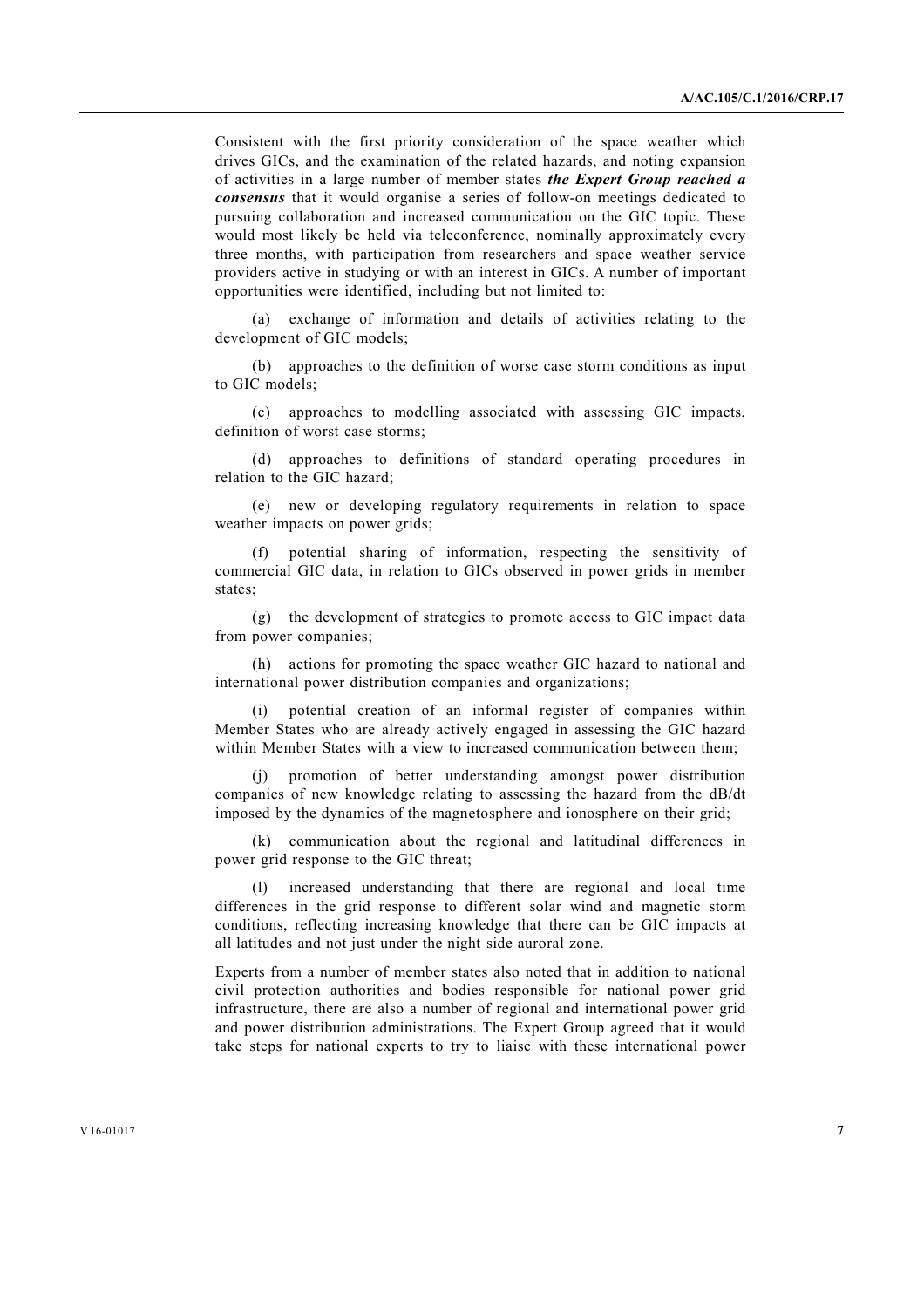Consistent with the first priority consideration of the space weather which drives GICs, and the examination of the related hazards, and noting expansion of activities in a large number of member states *the Expert Group reached a consensus* that it would organise a series of follow-on meetings dedicated to pursuing collaboration and increased communication on the GIC topic. These would most likely be held via teleconference, nominally approximately every three months, with participation from researchers and space weather service providers active in studying or with an interest in GICs. A number of important opportunities were identified, including but not limited to:

 (a) exchange of information and details of activities relating to the development of GIC models;

 (b) approaches to the definition of worse case storm conditions as input to GIC models;

 (c) approaches to modelling associated with assessing GIC impacts, definition of worst case storms;

 (d) approaches to definitions of standard operating procedures in relation to the GIC hazard;

 (e) new or developing regulatory requirements in relation to space weather impacts on power grids;

 (f) potential sharing of information, respecting the sensitivity of commercial GIC data, in relation to GICs observed in power grids in member states:

 (g) the development of strategies to promote access to GIC impact data from power companies;

 (h) actions for promoting the space weather GIC hazard to national and international power distribution companies and organizations;

 (i) potential creation of an informal register of companies within Member States who are already actively engaged in assessing the GIC hazard within Member States with a view to increased communication between them;

 (j) promotion of better understanding amongst power distribution companies of new knowledge relating to assessing the hazard from the dB/dt imposed by the dynamics of the magnetosphere and ionosphere on their grid;

 (k) communication about the regional and latitudinal differences in power grid response to the GIC threat;

 (l) increased understanding that there are regional and local time differences in the grid response to different solar wind and magnetic storm conditions, reflecting increasing knowledge that there can be GIC impacts at all latitudes and not just under the night side auroral zone.

 Experts from a number of member states also noted that in addition to national civil protection authorities and bodies responsible for national power grid infrastructure, there are also a number of regional and international power grid and power distribution administrations. The Expert Group agreed that it would take steps for national experts to try to liaise with these international power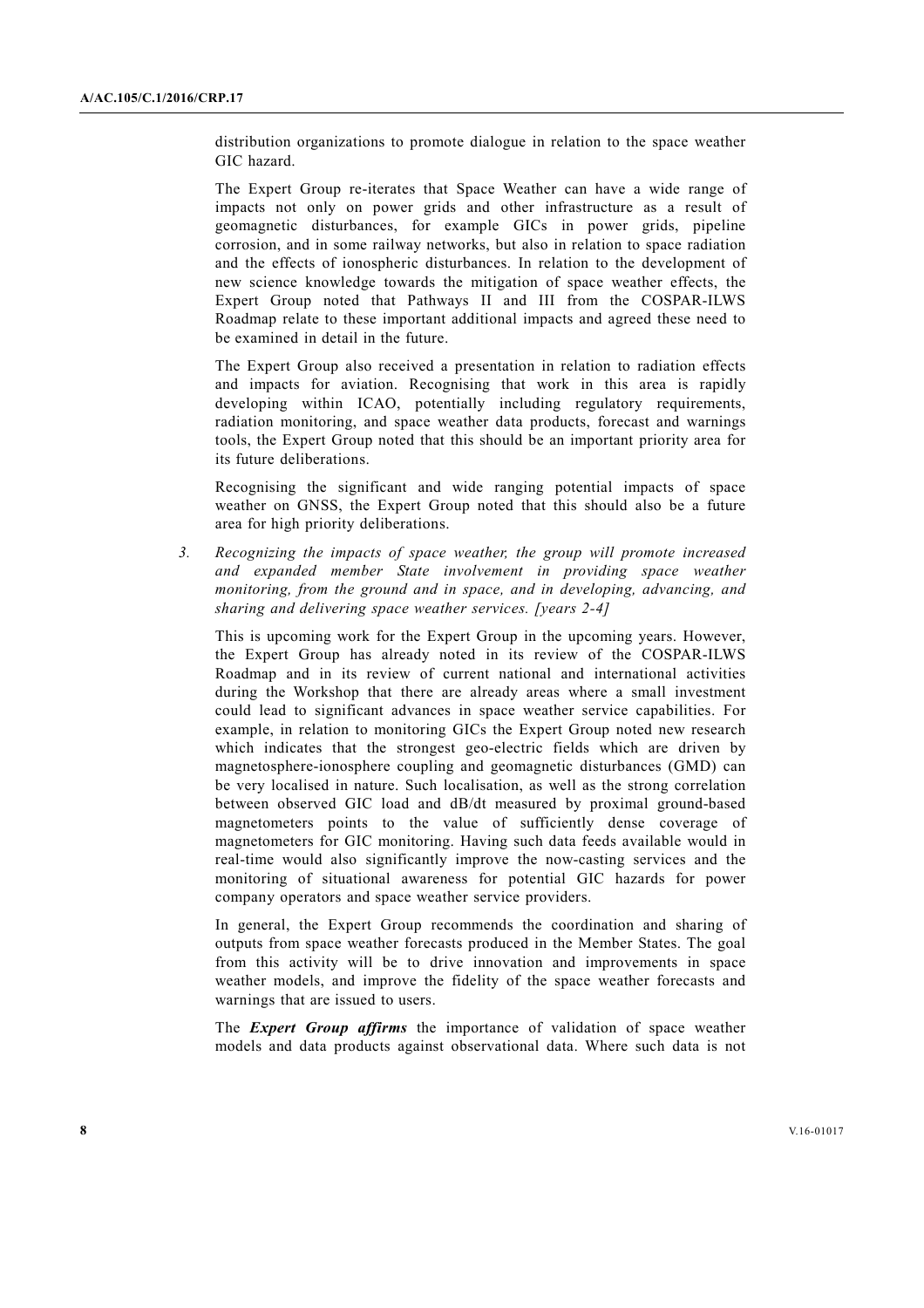distribution organizations to promote dialogue in relation to the space weather GIC hazard.

 The Expert Group re-iterates that Space Weather can have a wide range of impacts not only on power grids and other infrastructure as a result of geomagnetic disturbances, for example GICs in power grids, pipeline corrosion, and in some railway networks, but also in relation to space radiation and the effects of ionospheric disturbances. In relation to the development of new science knowledge towards the mitigation of space weather effects, the Expert Group noted that Pathways II and III from the COSPAR-ILWS Roadmap relate to these important additional impacts and agreed these need to be examined in detail in the future.

 The Expert Group also received a presentation in relation to radiation effects and impacts for aviation. Recognising that work in this area is rapidly developing within ICAO, potentially including regulatory requirements, radiation monitoring, and space weather data products, forecast and warnings tools, the Expert Group noted that this should be an important priority area for its future deliberations.

 Recognising the significant and wide ranging potential impacts of space weather on GNSS, the Expert Group noted that this should also be a future area for high priority deliberations.

*3. Recognizing the impacts of space weather, the group will promote increased and expanded member State involvement in providing space weather monitoring, from the ground and in space, and in developing, advancing, and sharing and delivering space weather services. [years 2-4]* 

 This is upcoming work for the Expert Group in the upcoming years. However, the Expert Group has already noted in its review of the COSPAR-ILWS Roadmap and in its review of current national and international activities during the Workshop that there are already areas where a small investment could lead to significant advances in space weather service capabilities. For example, in relation to monitoring GICs the Expert Group noted new research which indicates that the strongest geo-electric fields which are driven by magnetosphere-ionosphere coupling and geomagnetic disturbances (GMD) can be very localised in nature. Such localisation, as well as the strong correlation between observed GIC load and dB/dt measured by proximal ground-based magnetometers points to the value of sufficiently dense coverage of magnetometers for GIC monitoring. Having such data feeds available would in real-time would also significantly improve the now-casting services and the monitoring of situational awareness for potential GIC hazards for power company operators and space weather service providers.

 In general, the Expert Group recommends the coordination and sharing of outputs from space weather forecasts produced in the Member States. The goal from this activity will be to drive innovation and improvements in space weather models, and improve the fidelity of the space weather forecasts and warnings that are issued to users.

 The *Expert Group affirms* the importance of validation of space weather models and data products against observational data. Where such data is not